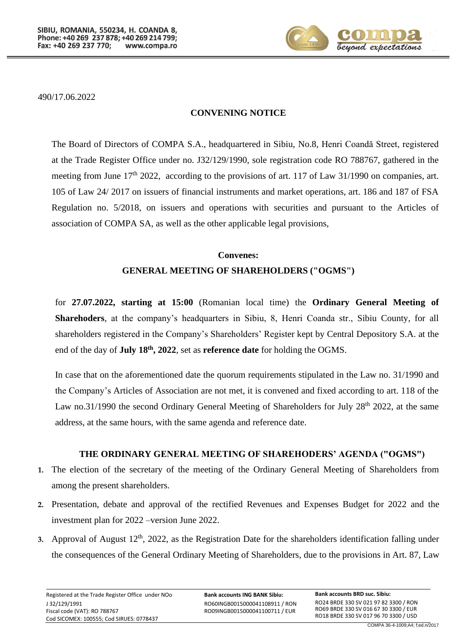

490/17.06.2022

#### **CONVENING NOTICE**

The Board of Directors of COMPA S.A., headquartered in Sibiu, No.8, Henri Coandă Street, registered at the Trade Register Office under no. J32/129/1990, sole registration code RO 788767, gathered in the meeting from June 17<sup>th</sup> 2022, according to the provisions of art. 117 of Law 31/1990 on companies, art. 105 of Law 24/ 2017 on issuers of financial instruments and market operations, art. 186 and 187 of FSA Regulation no. 5/2018, on issuers and operations with securities and pursuant to the Articles of association of COMPA SA, as well as the other applicable legal provisions,

# **Convenes: GENERAL MEETING OF SHAREHOLDERS ("OGMS")**

for **27.07.2022, starting at 15:00** (Romanian local time) the **Ordinary General Meeting of Sharehoders**, at the company's headquarters in Sibiu, 8, Henri Coanda str., Sibiu County, for all shareholders registered in the Company's Shareholders' Register kept by Central Depository S.A. at the end of the day of **July 18<sup>th</sup>**, 2022, set as **reference date** for holding the OGMS.

In case that on the aforementioned date the quorum requirements stipulated in the Law no. 31/1990 and the Company's Articles of Association are not met, it is convened and fixed according to art. 118 of the Law no.31/1990 the second Ordinary General Meeting of Shareholders for July 28<sup>th</sup> 2022, at the same address, at the same hours, with the same agenda and reference date.

# **THE ORDINARY GENERAL MEETING OF SHAREHODERS' AGENDA ("OGMS")**

- **1.** The election of the secretary of the meeting of the Ordinary General Meeting of Shareholders from among the present shareholders.
- **2.** Presentation, debate and approval of the rectified Revenues and Expenses Budget for 2022 and the investment plan for 2022 –version June 2022.
- 3. Approval of August 12<sup>th</sup>, 2022, as the Registration Date for the shareholders identification falling under the consequences of the General Ordinary Meeting of Shareholders, due to the provisions in Art. 87, Law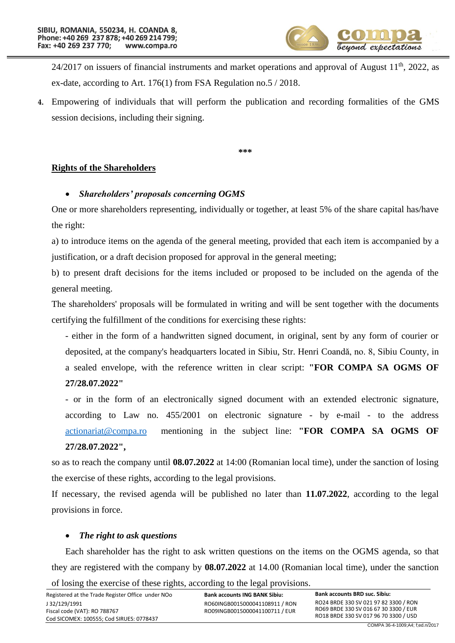

 $24/2017$  on issuers of financial instruments and market operations and approval of August  $11<sup>th</sup>$ , 2022, as ex-date, according to Art. 176(1) from FSA Regulation no.5 / 2018.

**4.** Empowering of individuals that will perform the publication and recording formalities of the GMS session decisions, including their signing.

**\*\*\***

#### **Rights of the Shareholders**

#### • *Shareholders' proposals concerning OGMS*

One or more shareholders representing, individually or together, at least 5% of the share capital has/have the right:

a) to introduce items on the agenda of the general meeting, provided that each item is accompanied by a justification, or a draft decision proposed for approval in the general meeting;

b) to present draft decisions for the items included or proposed to be included on the agenda of the general meeting.

The shareholders' proposals will be formulated in writing and will be sent together with the documents certifying the fulfillment of the conditions for exercising these rights:

- either in the form of a handwritten signed document, in original, sent by any form of courier or deposited, at the company's headquarters located in Sibiu, Str. Henri Coandă, no. 8, Sibiu County, in a sealed envelope, with the reference written in clear script: **"FOR COMPA SA OGMS OF 27/28.07.2022"**

- or in the form of an electronically signed document with an extended electronic signature, according to Law no. 455/2001 on electronic signature - by e-mail - to the address [actionariat@compa.ro](mailto:actionariat@compa.ro) mentioning in the subject line: **"FOR COMPA SA OGMS OF 27/28.07.2022",**

so as to reach the company until **08.07.2022** at 14:00 (Romanian local time), under the sanction of losing the exercise of these rights, according to the legal provisions.

If necessary, the revised agenda will be published no later than **11.07.2022**, according to the legal provisions in force.

#### • *The right to ask questions*

Each shareholder has the right to ask written questions on the items on the OGMS agenda, so that they are registered with the company by **08.07.2022** at 14.00 (Romanian local time), under the sanction of losing the exercise of these rights, according to the legal provisions.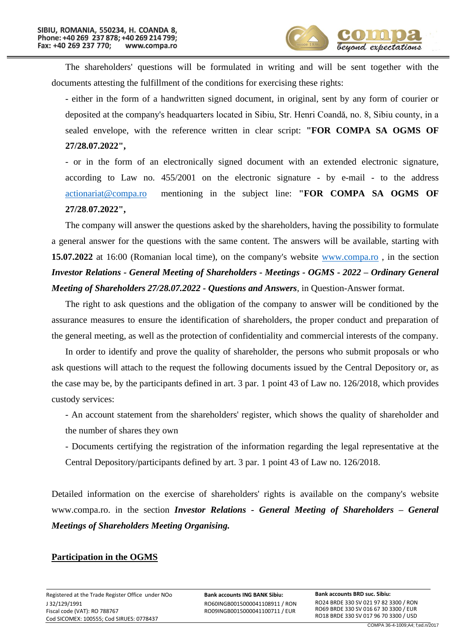

The shareholders' questions will be formulated in writing and will be sent together with the documents attesting the fulfillment of the conditions for exercising these rights:

- either in the form of a handwritten signed document, in original, sent by any form of courier or deposited at the company's headquarters located in Sibiu, Str. Henri Coandă, no. 8, Sibiu county, in a sealed envelope, with the reference written in clear script: **"FOR COMPA SA OGMS OF 27/28.07.2022",**

- or in the form of an electronically signed document with an extended electronic signature, according to Law no. 455/2001 on the electronic signature - by e-mail - to the address [actionariat@compa.ro](mailto:actionariat@compa.ro) mentioning in the subject line: **"FOR COMPA SA OGMS OF 27/28**.**07.2022",**

The company will answer the questions asked by the shareholders, having the possibility to formulate a general answer for the questions with the same content. The answers will be available, starting with **15.07.2022** at 16:00 (Romanian local time), on the company's website [www.compa.ro](http://www.compa.ro/) , in the section *Investor Relations - General Meeting of Shareholders - Meetings - OGMS - 2022 – Ordinary General Meeting of Shareholders 27/28.07.2022 - Questions and Answers*, in Question-Answer format.

The right to ask questions and the obligation of the company to answer will be conditioned by the assurance measures to ensure the identification of shareholders, the proper conduct and preparation of the general meeting, as well as the protection of confidentiality and commercial interests of the company.

In order to identify and prove the quality of shareholder, the persons who submit proposals or who ask questions will attach to the request the following documents issued by the Central Depository or, as the case may be, by the participants defined in art. 3 par. 1 point 43 of Law no. 126/2018, which provides custody services:

- An account statement from the shareholders' register, which shows the quality of shareholder and the number of shares they own

- Documents certifying the registration of the information regarding the legal representative at the Central Depository/participants defined by art. 3 par. 1 point 43 of Law no. 126/2018.

Detailed information on the exercise of shareholders' rights is available on the company's website www.compa.ro. in the section *Investor Relations - General Meeting of Shareholders – General Meetings of Shareholders Meeting Organising.*

## **Participation in the OGMS**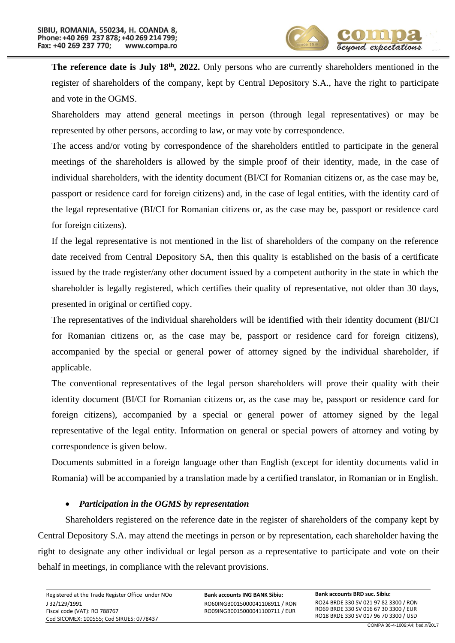**The reference date is July 18<sup>th</sup>**, 2022. Only persons who are currently shareholders mentioned in the register of shareholders of the company, kept by Central Depository S.A., have the right to participate and vote in the OGMS.

Shareholders may attend general meetings in person (through legal representatives) or may be represented by other persons, according to law, or may vote by correspondence.

The access and/or voting by correspondence of the shareholders entitled to participate in the general meetings of the shareholders is allowed by the simple proof of their identity, made, in the case of individual shareholders, with the identity document (BI/CI for Romanian citizens or, as the case may be, passport or residence card for foreign citizens) and, in the case of legal entities, with the identity card of the legal representative (BI/CI for Romanian citizens or, as the case may be, passport or residence card for foreign citizens).

If the legal representative is not mentioned in the list of shareholders of the company on the reference date received from Central Depository SA, then this quality is established on the basis of a certificate issued by the trade register/any other document issued by a competent authority in the state in which the shareholder is legally registered, which certifies their quality of representative, not older than 30 days, presented in original or certified copy.

The representatives of the individual shareholders will be identified with their identity document (BI/CI for Romanian citizens or, as the case may be, passport or residence card for foreign citizens), accompanied by the special or general power of attorney signed by the individual shareholder, if applicable.

The conventional representatives of the legal person shareholders will prove their quality with their identity document (BI/CI for Romanian citizens or, as the case may be, passport or residence card for foreign citizens), accompanied by a special or general power of attorney signed by the legal representative of the legal entity. Information on general or special powers of attorney and voting by correspondence is given below.

Documents submitted in a foreign language other than English (except for identity documents valid in Romania) will be accompanied by a translation made by a certified translator, in Romanian or in English.

## • *Participation in the OGMS by representation*

Shareholders registered on the reference date in the register of shareholders of the company kept by Central Depository S.A. may attend the meetings in person or by representation, each shareholder having the right to designate any other individual or legal person as a representative to participate and vote on their behalf in meetings, in compliance with the relevant provisions.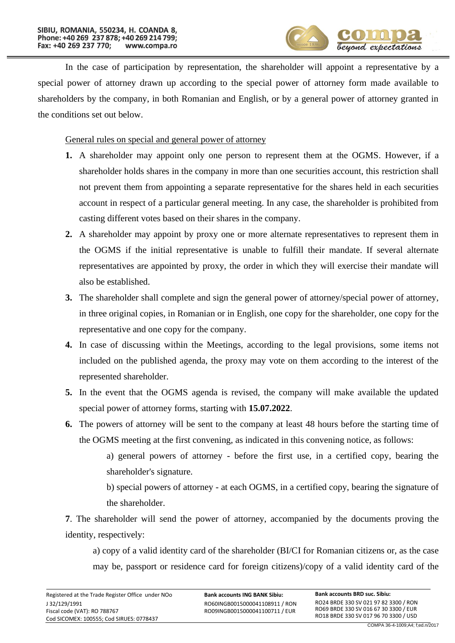

In the case of participation by representation, the shareholder will appoint a representative by a special power of attorney drawn up according to the special power of attorney form made available to shareholders by the company, in both Romanian and English, or by a general power of attorney granted in the conditions set out below.

General rules on special and general power of attorney

- **1.** A shareholder may appoint only one person to represent them at the OGMS. However, if a shareholder holds shares in the company in more than one securities account, this restriction shall not prevent them from appointing a separate representative for the shares held in each securities account in respect of a particular general meeting. In any case, the shareholder is prohibited from casting different votes based on their shares in the company.
- **2.** A shareholder may appoint by proxy one or more alternate representatives to represent them in the OGMS if the initial representative is unable to fulfill their mandate. If several alternate representatives are appointed by proxy, the order in which they will exercise their mandate will also be established.
- **3.** The shareholder shall complete and sign the general power of attorney/special power of attorney, in three original copies, in Romanian or in English, one copy for the shareholder, one copy for the representative and one copy for the company.
- **4.** In case of discussing within the Meetings, according to the legal provisions, some items not included on the published agenda, the proxy may vote on them according to the interest of the represented shareholder.
- **5.** In the event that the OGMS agenda is revised, the company will make available the updated special power of attorney forms, starting with **15.07.2022**.
- **6.** The powers of attorney will be sent to the company at least 48 hours before the starting time of the OGMS meeting at the first convening, as indicated in this convening notice, as follows:

a) general powers of attorney - before the first use, in a certified copy, bearing the shareholder's signature.

b) special powers of attorney - at each OGMS, in a certified copy, bearing the signature of the shareholder.

**7**. The shareholder will send the power of attorney, accompanied by the documents proving the identity, respectively:

a) copy of a valid identity card of the shareholder (BI/CI for Romanian citizens or, as the case may be, passport or residence card for foreign citizens)/copy of a valid identity card of the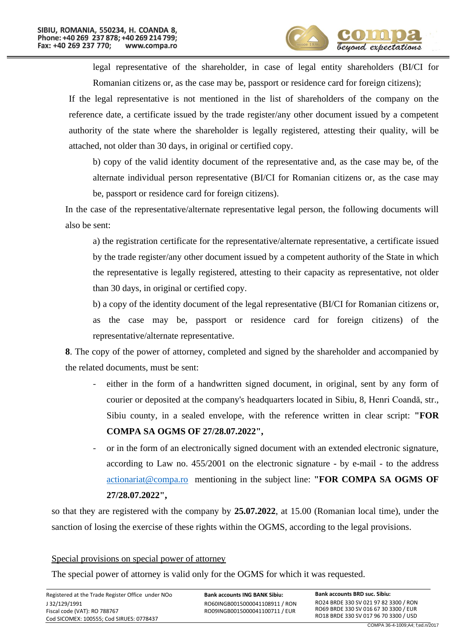

legal representative of the shareholder, in case of legal entity shareholders (BI/CI for Romanian citizens or, as the case may be, passport or residence card for foreign citizens);

If the legal representative is not mentioned in the list of shareholders of the company on the reference date, a certificate issued by the trade register/any other document issued by a competent authority of the state where the shareholder is legally registered, attesting their quality, will be attached, not older than 30 days, in original or certified copy.

b) copy of the valid identity document of the representative and, as the case may be, of the alternate individual person representative (BI/CI for Romanian citizens or, as the case may be, passport or residence card for foreign citizens).

In the case of the representative/alternate representative legal person, the following documents will also be sent:

a) the registration certificate for the representative/alternate representative, a certificate issued by the trade register/any other document issued by a competent authority of the State in which the representative is legally registered, attesting to their capacity as representative, not older than 30 days, in original or certified copy.

b) a copy of the identity document of the legal representative (BI/CI for Romanian citizens or, as the case may be, passport or residence card for foreign citizens) of the representative/alternate representative.

**8**. The copy of the power of attorney, completed and signed by the shareholder and accompanied by the related documents, must be sent:

- either in the form of a handwritten signed document, in original, sent by any form of courier or deposited at the company's headquarters located in Sibiu, 8, Henri Coandă, str., Sibiu county, in a sealed envelope, with the reference written in clear script: **"FOR COMPA SA OGMS OF 27/28.07.2022",**
- or in the form of an electronically signed document with an extended electronic signature, according to Law no. 455/2001 on the electronic signature - by e-mail - to the address [actionariat@compa.ro](mailto:actionariat@compa.ro) mentioning in the subject line: **"FOR COMPA SA OGMS OF 27/28.07.2022",**

so that they are registered with the company by **25.07.2022**, at 15.00 (Romanian local time), under the sanction of losing the exercise of these rights within the OGMS, according to the legal provisions.

## Special provisions on special power of attorney

The special power of attorney is valid only for the OGMS for which it was requested.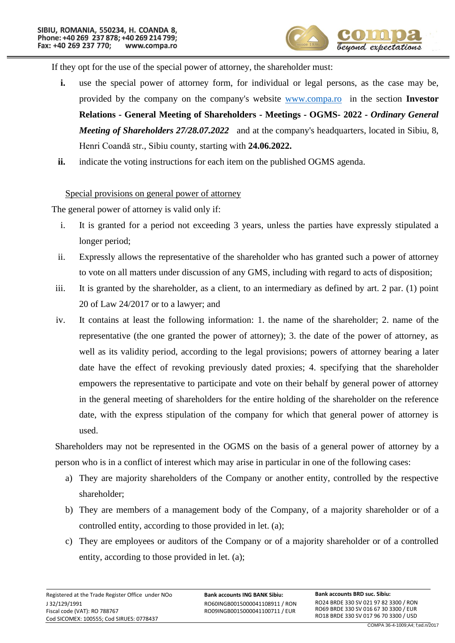

If they opt for the use of the special power of attorney, the shareholder must:

- **i.** use the special power of attorney form, for individual or legal persons, as the case may be, provided by the company on the company's website [www.compa.ro](http://www.compa.ro/) in the section **Investor Relations - General Meeting of Shareholders - Meetings - OGMS- 2022 -** *Ordinary General Meeting of Shareholders 27/28.07.2022* and at the company's headquarters, located in Sibiu, 8, Henri Coandă str., Sibiu county, starting with **24.06.2022.**
- **ii.** indicate the voting instructions for each item on the published OGMS agenda.

Special provisions on general power of attorney

The general power of attorney is valid only if:

- i. It is granted for a period not exceeding 3 years, unless the parties have expressly stipulated a longer period;
- ii. Expressly allows the representative of the shareholder who has granted such a power of attorney to vote on all matters under discussion of any GMS, including with regard to acts of disposition;
- iii. It is granted by the shareholder, as a client, to an intermediary as defined by art. 2 par. (1) point 20 of Law 24/2017 or to a lawyer; and
- iv. It contains at least the following information: 1. the name of the shareholder; 2. name of the representative (the one granted the power of attorney); 3. the date of the power of attorney, as well as its validity period, according to the legal provisions; powers of attorney bearing a later date have the effect of revoking previously dated proxies; 4. specifying that the shareholder empowers the representative to participate and vote on their behalf by general power of attorney in the general meeting of shareholders for the entire holding of the shareholder on the reference date, with the express stipulation of the company for which that general power of attorney is used.

Shareholders may not be represented in the OGMS on the basis of a general power of attorney by a person who is in a conflict of interest which may arise in particular in one of the following cases:

- a) They are majority shareholders of the Company or another entity, controlled by the respective shareholder;
- b) They are members of a management body of the Company, of a majority shareholder or of a controlled entity, according to those provided in let. (a);
- c) They are employees or auditors of the Company or of a majority shareholder or of a controlled entity, according to those provided in let. (a);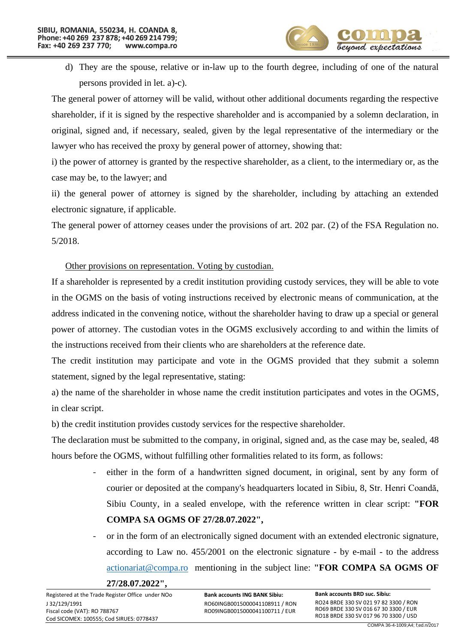

d) They are the spouse, relative or in-law up to the fourth degree, including of one of the natural persons provided in let. a)-c).

The general power of attorney will be valid, without other additional documents regarding the respective shareholder, if it is signed by the respective shareholder and is accompanied by a solemn declaration, in original, signed and, if necessary, sealed, given by the legal representative of the intermediary or the lawyer who has received the proxy by general power of attorney, showing that:

i) the power of attorney is granted by the respective shareholder, as a client, to the intermediary or, as the case may be, to the lawyer; and

ii) the general power of attorney is signed by the shareholder, including by attaching an extended electronic signature, if applicable.

The general power of attorney ceases under the provisions of art. 202 par. (2) of the FSA Regulation no. 5/2018.

# Other provisions on representation. Voting by custodian.

If a shareholder is represented by a credit institution providing custody services, they will be able to vote in the OGMS on the basis of voting instructions received by electronic means of communication, at the address indicated in the convening notice, without the shareholder having to draw up a special or general power of attorney. The custodian votes in the OGMS exclusively according to and within the limits of the instructions received from their clients who are shareholders at the reference date.

The credit institution may participate and vote in the OGMS provided that they submit a solemn statement, signed by the legal representative, stating:

a) the name of the shareholder in whose name the credit institution participates and votes in the OGMS, in clear script.

b) the credit institution provides custody services for the respective shareholder.

The declaration must be submitted to the company, in original, signed and, as the case may be, sealed, 48 hours before the OGMS, without fulfilling other formalities related to its form, as follows:

- either in the form of a handwritten signed document, in original, sent by any form of courier or deposited at the company's headquarters located in Sibiu, 8, Str. Henri Coandă, Sibiu County, in a sealed envelope, with the reference written in clear script: **"FOR COMPA SA OGMS OF 27/28.07.2022",**
- or in the form of an electronically signed document with an extended electronic signature, according to Law no. 455/2001 on the electronic signature - by e-mail - to the address [actionariat@compa.ro](mailto:actionariat@compa.ro) mentioning in the subject line: **"FOR COMPA SA OGMS OF** 
	- **27/28.07.2022",**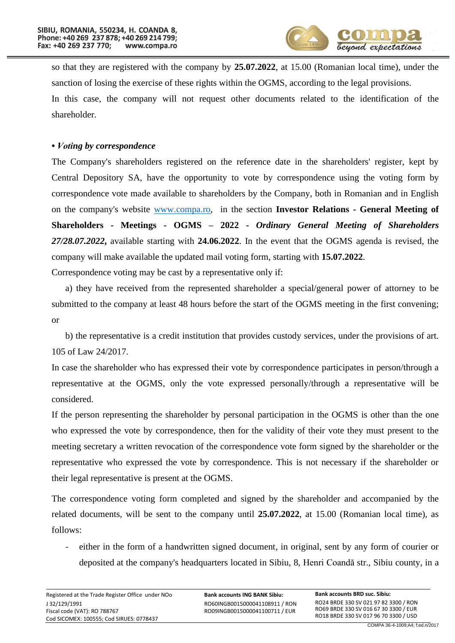

so that they are registered with the company by **25.07.2022**, at 15.00 (Romanian local time), under the sanction of losing the exercise of these rights within the OGMS, according to the legal provisions.

In this case, the company will not request other documents related to the identification of the shareholder.

## *• Voting by correspondence*

The Company's shareholders registered on the reference date in the shareholders' register, kept by Central Depository SA, have the opportunity to vote by correspondence using the voting form by correspondence vote made available to shareholders by the Company, both in Romanian and in English on the company's website [www.compa.ro,](http://www.compa.ro/) in the section **Investor Relations - General Meeting of Shareholders - Meetings - OGMS – 2022 -** *Ordinary General Meeting of Shareholders 27/28.07.2022***,** available starting with **24.06.2022**. In the event that the OGMS agenda is revised, the company will make available the updated mail voting form, starting with **15.07.2022**.

Correspondence voting may be cast by a representative only if:

a) they have received from the represented shareholder a special/general power of attorney to be submitted to the company at least 48 hours before the start of the OGMS meeting in the first convening; or

b) the representative is a credit institution that provides custody services, under the provisions of art. 105 of Law 24/2017.

In case the shareholder who has expressed their vote by correspondence participates in person/through a representative at the OGMS, only the vote expressed personally/through a representative will be considered.

If the person representing the shareholder by personal participation in the OGMS is other than the one who expressed the vote by correspondence, then for the validity of their vote they must present to the meeting secretary a written revocation of the correspondence vote form signed by the shareholder or the representative who expressed the vote by correspondence. This is not necessary if the shareholder or their legal representative is present at the OGMS.

The correspondence voting form completed and signed by the shareholder and accompanied by the related documents, will be sent to the company until **25.07.2022**, at 15.00 (Romanian local time), as follows:

either in the form of a handwritten signed document, in original, sent by any form of courier or deposited at the company's headquarters located in Sibiu, 8, Henri Coandă str., Sibiu county, in a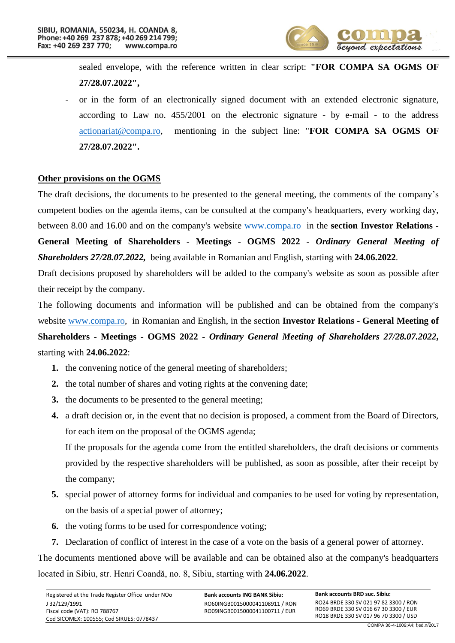

sealed envelope, with the reference written in clear script: **"FOR COMPA SA OGMS OF 27/28.07.2022",**

or in the form of an electronically signed document with an extended electronic signature, according to Law no. 455/2001 on the electronic signature - by e-mail - to the address [actionariat@compa.ro,](mailto:actionariat@compa.ro) mentioning in the subject line: "**FOR COMPA SA OGMS OF 27/28.07.2022".**

#### **Other provisions on the OGMS**

The draft decisions, the documents to be presented to the general meeting, the comments of the company's competent bodies on the agenda items, can be consulted at the company's headquarters, every working day, between 8.00 and 16.00 and on the company's website [www.compa.ro](http://www.compa.ro/) in the **section Investor Relations - General Meeting of Shareholders - Meetings - OGMS 2022 -** *Ordinary General Meeting of Shareholders 27/28.07.2022,* being available in Romanian and English, starting with **24.06.2022**.

Draft decisions proposed by shareholders will be added to the company's website as soon as possible after their receipt by the company.

The following documents and information will be published and can be obtained from the company's website [www.compa.ro,](http://www.compa.ro/) in Romanian and English, in the section **Investor Relations - General Meeting of Shareholders - Meetings - OGMS 2022 -** *Ordinary General Meeting of Shareholders 27/28.07.2022***,** starting with **24.06.2022**:

- **1.** the convening notice of the general meeting of shareholders;
- **2.** the total number of shares and voting rights at the convening date;
- **3.** the documents to be presented to the general meeting;
- **4.** a draft decision or, in the event that no decision is proposed, a comment from the Board of Directors, for each item on the proposal of the OGMS agenda;

If the proposals for the agenda come from the entitled shareholders, the draft decisions or comments provided by the respective shareholders will be published, as soon as possible, after their receipt by the company;

- **5.** special power of attorney forms for individual and companies to be used for voting by representation, on the basis of a special power of attorney;
- **6.** the voting forms to be used for correspondence voting;
- **7.** Declaration of conflict of interest in the case of a vote on the basis of a general power of attorney.

The documents mentioned above will be available and can be obtained also at the company's headquarters located in Sibiu, str. Henri Coandă, no. 8, Sibiu, starting with **24.06.2022**.